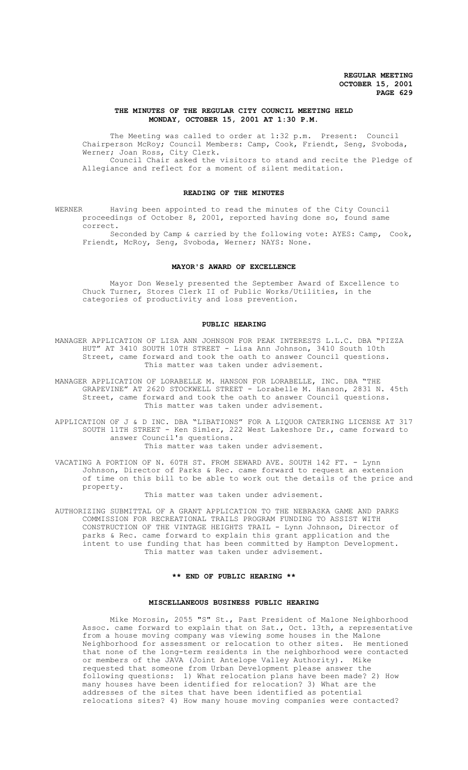## **THE MINUTES OF THE REGULAR CITY COUNCIL MEETING HELD MONDAY, OCTOBER 15, 2001 AT 1:30 P.M.**

The Meeting was called to order at 1:32 p.m. Present: Council Chairperson McRoy; Council Members: Camp, Cook, Friendt, Seng, Svoboda, Werner; Joan Ross, City Clerk. Council Chair asked the visitors to stand and recite the Pledge of

Allegiance and reflect for a moment of silent meditation.

## **READING OF THE MINUTES**

WERNER Having been appointed to read the minutes of the City Council proceedings of October 8, 2001, reported having done so, found same correct.

Seconded by Camp & carried by the following vote: AYES: Camp, Cook, Friendt, McRoy, Seng, Svoboda, Werner; NAYS: None.

## **MAYOR'S AWARD OF EXCELLENCE**

Mayor Don Wesely presented the September Award of Excellence to Chuck Turner, Stores Clerk II of Public Works/Utilities, in the categories of productivity and loss prevention.

# **PUBLIC HEARING**

MANAGER APPLICATION OF LISA ANN JOHNSON FOR PEAK INTERESTS L.L.C. DBA "PIZZA HUT" AT 3410 SOUTH 10TH STREET - Lisa Ann Johnson, 3410 South 10th Street, came forward and took the oath to answer Council questions. This matter was taken under advisement.

MANAGER APPLICATION OF LORABELLE M. HANSON FOR LORABELLE, INC. DBA "THE GRAPEVINE" AT 2620 STOCKWELL STREET - Lorabelle M. Hanson, 2831 N. 45th Street, came forward and took the oath to answer Council questions. This matter was taken under advisement.

APPLICATION OF J & D INC. DBA "LIBATIONS" FOR A LIQUOR CATERING LICENSE AT 317 SOUTH 11TH STREET - Ken Simler, 222 West Lakeshore Dr., came forward to answer Council's questions. This matter was taken under advisement.

VACATING A PORTION OF N. 60TH ST. FROM SEWARD AVE. SOUTH 142 FT. - Lynn Johnson, Director of Parks & Rec. came forward to request an extension of time on this bill to be able to work out the details of the price and property.

This matter was taken under advisement.

AUTHORIZING SUBMITTAL OF A GRANT APPLICATION TO THE NEBRASKA GAME AND PARKS COMMISSION FOR RECREATIONAL TRAILS PROGRAM FUNDING TO ASSIST WITH CONSTRUCTION OF THE VINTAGE HEIGHTS TRAIL - Lynn Johnson, Director of parks & Rec. came forward to explain this grant application and the intent to use funding that has been committed by Hampton Development. This matter was taken under advisement.

## **\*\* END OF PUBLIC HEARING \*\***

#### **MISCELLANEOUS BUSINESS PUBLIC HEARING**

Mike Morosin, 2055 "S" St., Past President of Malone Neighborhood Assoc. came forward to explain that on Sat., Oct. 13th, a representative from a house moving company was viewing some houses in the Malone Neighborhood for assessment or relocation to other sites. He mentioned that none of the long-term residents in the neighborhood were contacted or members of the JAVA (Joint Antelope Valley Authority). Mike requested that someone from Urban Development please answer the following questions: 1) What relocation plans have been made? 2) How many houses have been identified for relocation? 3) What are the addresses of the sites that have been identified as potential relocations sites? 4) How many house moving companies were contacted?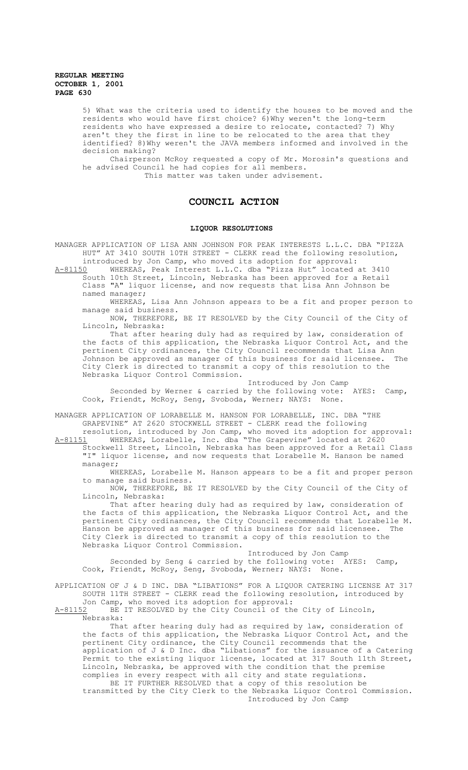> 5) What was the criteria used to identify the houses to be moved and the residents who would have first choice? 6)Why weren't the long-term residents who have expressed a desire to relocate, contacted? 7) Why aren't they the first in line to be relocated to the area that they identified? 8)Why weren't the JAVA members informed and involved in the decision making?

Chairperson McRoy requested a copy of Mr. Morosin's questions and he advised Council he had copies for all members.

This matter was taken under advisement.

# **COUNCIL ACTION**

## **LIQUOR RESOLUTIONS**

MANAGER APPLICATION OF LISA ANN JOHNSON FOR PEAK INTERESTS L.L.C. DBA "PIZZA HUT" AT 3410 SOUTH 10TH STREET - CLERK read the following resolution, introduced by Jon Camp, who moved its adoption for approval:

A-81150 MHEREAS, Peak Interest L.L.C. dba "Pizza Hut" located at 3410 South 10th Street, Lincoln, Nebraska has been approved for a Retail Class "A" liquor license, and now requests that Lisa Ann Johnson be named manager;

WHEREAS, Lisa Ann Johnson appears to be a fit and proper person to manage said business.

NOW, THEREFORE, BE IT RESOLVED by the City Council of the City of Lincoln, Nebraska:

That after hearing duly had as required by law, consideration of the facts of this application, the Nebraska Liquor Control Act, and the pertinent City ordinances, the City Council recommends that Lisa Ann<br>Johnson be approved as manager of this business for said licensee. The Johnson be approved as manager of this business for said licensee. City Clerk is directed to transmit a copy of this resolution to the Nebraska Liquor Control Commission.

Introduced by Jon Camp

Seconded by Werner & carried by the following vote: AYES: Camp, Cook, Friendt, McRoy, Seng, Svoboda, Werner; NAYS: None.

MANAGER APPLICATION OF LORABELLE M. HANSON FOR LORABELLE, INC. DBA "THE GRAPEVINE" AT 2620 STOCKWELL STREET - CLERK read the following

resolution, introduced by Jon Camp, who moved its adoption for approval: A-81151 WHEREAS, Lorabelle, Inc. dba "The Grapevine" located at 2620

Stockwell Street, Lincoln, Nebraska has been approved for a Retail Class "I" liquor license, and now requests that Lorabelle M. Hanson be named manager;

WHEREAS, Lorabelle M. Hanson appears to be a fit and proper person to manage said business.

NOW, THEREFORE, BE IT RESOLVED by the City Council of the City of Lincoln, Nebraska:

That after hearing duly had as required by law, consideration of the facts of this application, the Nebraska Liquor Control Act, and the pertinent City ordinances, the City Council recommends that Lorabelle M.<br>Hanson be approved as manager of this business for said licensee. The Hanson be approved as manager of this business for said licensee. City Clerk is directed to transmit a copy of this resolution to the Nebraska Liquor Control Commission.

Introduced by Jon Camp Seconded by Seng & carried by the following vote: AYES: Camp, Cook, Friendt, McRoy, Seng, Svoboda, Werner; NAYS: None.

APPLICATION OF J & D INC. DBA "LIBATIONS" FOR A LIQUOR CATERING LICENSE AT 317 SOUTH 11TH STREET - CLERK read the following resolution, introduced by Jon Camp, who moved its adoption for approval:<br>A-81152 BE IT RESOLVED by the City Council of th

BE IT RESOLVED by the City Council of the City of Lincoln, Nebraska:

That after hearing duly had as required by law, consideration of the facts of this application, the Nebraska Liquor Control Act, and the pertinent City ordinance, the City Council recommends that the application of J & D Inc. dba "Libations" for the issuance of a Catering Permit to the existing liquor license, located at 317 South 11th Street, Lincoln, Nebraska, be approved with the condition that the premise complies in every respect with all city and state regulations.

BE IT FURTHER RESOLVED that a copy of this resolution be transmitted by the City Clerk to the Nebraska Liquor Control Commission. Introduced by Jon Camp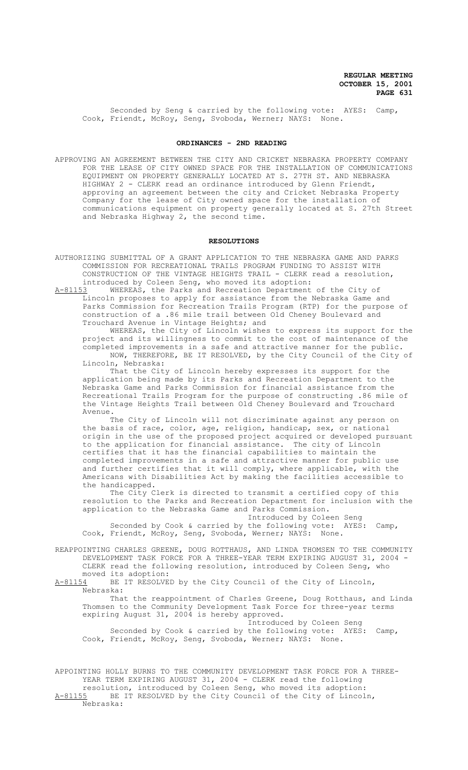Seconded by Seng & carried by the following vote: AYES: Camp, Cook, Friendt, McRoy, Seng, Svoboda, Werner; NAYS: None.

### **ORDINANCES - 2ND READING**

APPROVING AN AGREEMENT BETWEEN THE CITY AND CRICKET NEBRASKA PROPERTY COMPANY FOR THE LEASE OF CITY OWNED SPACE FOR THE INSTALLATION OF COMMUNICATIONS EQUIPMENT ON PROPERTY GENERALLY LOCATED AT S. 27TH ST. AND NEBRASKA HIGHWAY 2 - CLERK read an ordinance introduced by Glenn Friendt, approving an agreement between the city and Cricket Nebraska Property Company for the lease of City owned space for the installation of communications equipment on property generally located at S. 27th Street and Nebraska Highway 2, the second time.

### **RESOLUTIONS**

AUTHORIZING SUBMITTAL OF A GRANT APPLICATION TO THE NEBRASKA GAME AND PARKS COMMISSION FOR RECREATIONAL TRAILS PROGRAM FUNDING TO ASSIST WITH CONSTRUCTION OF THE VINTAGE HEIGHTS TRAIL - CLERK read a resolution, introduced by Coleen Seng, who moved its adoption:

A-81153 WHEREAS, the Parks and Recreation Department of the City of Lincoln proposes to apply for assistance from the Nebraska Game and Parks Commission for Recreation Trails Program (RTP) for the purpose of construction of a .86 mile trail between Old Cheney Boulevard and Trouchard Avenue in Vintage Heights; and

WHEREAS, the City of Lincoln wishes to express its support for the project and its willingness to commit to the cost of maintenance of the completed improvements in a safe and attractive manner for the public. NOW, THEREFORE, BE IT RESOLVED, by the City Council of the City of Lincoln, Nebraska:

That the City of Lincoln hereby expresses its support for the application being made by its Parks and Recreation Department to the Nebraska Game and Parks Commission for financial assistance from the Recreational Trails Program for the purpose of constructing .86 mile of the Vintage Heights Trail between Old Cheney Boulevard and Trouchard Avenue.

The City of Lincoln will not discriminate against any person on the basis of race, color, age, religion, handicap, sex, or national origin in the use of the proposed project acquired or developed pursuant to the application for financial assistance. The city of Lincoln certifies that it has the financial capabilities to maintain the completed improvements in a safe and attractive manner for public use and further certifies that it will comply, where applicable, with the Americans with Disabilities Act by making the facilities accessible to the handicapped.

The City Clerk is directed to transmit a certified copy of this resolution to the Parks and Recreation Department for inclusion with the application to the Nebraska Game and Parks Commission.

Introduced by Coleen Seng Seconded by Cook & carried by the following vote: AYES: Camp,

Cook, Friendt, McRoy, Seng, Svoboda, Werner; NAYS: None.

REAPPOINTING CHARLES GREENE, DOUG ROTTHAUS, AND LINDA THOMSEN TO THE COMMUNITY DEVELOPMENT TASK FORCE FOR A THREE-YEAR TERM EXPIRING AUGUST 31, 2004 - CLERK read the following resolution, introduced by Coleen Seng, who moved its adoption:<br>A-81154 BE IT RESOLVE

BE IT RESOLVED by the City Council of the City of Lincoln, Nebraska:

That the reappointment of Charles Greene, Doug Rotthaus, and Linda Thomsen to the Community Development Task Force for three-year terms expiring August 31, 2004 is hereby approved.

Introduced by Coleen Seng Seconded by Cook & carried by the following vote: AYES: Camp, Cook, Friendt, McRoy, Seng, Svoboda, Werner; NAYS: None.

APPOINTING HOLLY BURNS TO THE COMMUNITY DEVELOPMENT TASK FORCE FOR A THREE-YEAR TERM EXPIRING AUGUST 31, 2004 - CLERK read the following resolution, introduced by Coleen Seng, who moved its adoption: A-81155 BE IT RESOLVED by the City Council of the City of Lincoln, Nebraska: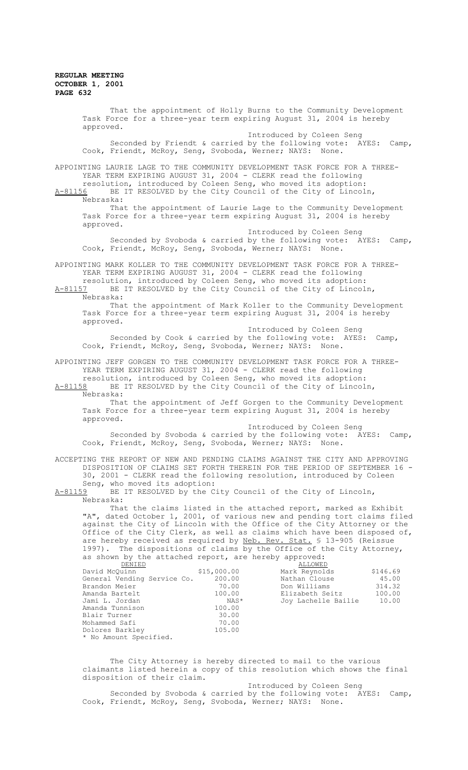That the appointment of Holly Burns to the Community Development Task Force for a three-year term expiring August 31, 2004 is hereby approved. Introduced by Coleen Seng Seconded by Friendt & carried by the following vote: AYES: Camp, Cook, Friendt, McRoy, Seng, Svoboda, Werner; NAYS: None. APPOINTING LAURIE LAGE TO THE COMMUNITY DEVELOPMENT TASK FORCE FOR A THREE-YEAR TERM EXPIRING AUGUST 31, 2004 - CLERK read the following resolution, introduced by Coleen Seng, who moved its adoption: A-81156 BE IT RESOLVED by the City Council of the City of Lincoln, Nebraska: That the appointment of Laurie Lage to the Community Development Task Force for a three-year term expiring August 31, 2004 is hereby approved. Introduced by Coleen Seng Seconded by Svoboda & carried by the following vote: AYES: Camp, Cook, Friendt, McRoy, Seng, Svoboda, Werner; NAYS: None. APPOINTING MARK KOLLER TO THE COMMUNITY DEVELOPMENT TASK FORCE FOR A THREE-YEAR TERM EXPIRING AUGUST 31, 2004 - CLERK read the following resolution, introduced by Coleen Seng, who moved its adoption: A-81157 BE IT RESOLVED by the City Council of the City of Lincoln, Nebraska: That the appointment of Mark Koller to the Community Development Task Force for a three-year term expiring August 31, 2004 is hereby approved. Introduced by Coleen Seng Seconded by Cook & carried by the following vote: AYES: Camp, Cook, Friendt, McRoy, Seng, Svoboda, Werner; NAYS: None. APPOINTING JEFF GORGEN TO THE COMMUNITY DEVELOPMENT TASK FORCE FOR A THREE-YEAR TERM EXPIRING AUGUST 31, 2004 - CLERK read the following resolution, introduced by Coleen Seng, who moved its adoption:<br>A-81158 BE IT RESOLVED by the City Council of the City of Lincol BE IT RESOLVED by the City Council of the City of Lincoln, Nebraska: That the appointment of Jeff Gorgen to the Community Development Task Force for a three-year term expiring August 31, 2004 is hereby approved. Introduced by Coleen Seng Seconded by Svoboda & carried by the following vote: AYES: Camp, Cook, Friendt, McRoy, Seng, Svoboda, Werner; NAYS: None. ACCEPTING THE REPORT OF NEW AND PENDING CLAIMS AGAINST THE CITY AND APPROVING DISPOSITION OF CLAIMS SET FORTH THEREIN FOR THE PERIOD OF SEPTEMBER 16 - 30, 2001 - CLERK read the following resolution, introduced by Coleen Seng, who moved its adoption:<br>A-81159 BE IT RESOLVED by the C BE IT RESOLVED by the City Council of the City of Lincoln, Nebraska: That the claims listed in the attached report, marked as Exhibit "A", dated October 1, 2001, of various new and pending tort claims filed against the City of Lincoln with the Office of the City Attorney or the Office of the City Clerk, as well as claims which have been disposed of, are hereby received as required by Neb. Rev. Stat. § 13-905 (Reissue 1997). The dispositions of claims by the Office of the City Attorney, as shown by the attached report, are hereby approved:<br><u>DENIED</u> DENIED ALLOWED David McQuinn \$15,000.00 Mark Reynolds \$146.69 David McQuinn  $$15,000.00$  Mark Reynolds  $$146.69$ <br>General Vending Service Co.  $$200.00$  Nathan Clouse  $$45.00$ <br>Brandon Meier  $$70.00$  Don Williams  $$314.32$ Brandon Meier 70.00 Don Williams 314.32 Amanda Bartelt 100.00 Elizabeth Seitz 100.00  $\texttt{NAS*}$  Joy Lachelle Bailie 100.00 Amanda Tunnison 100.00<br>Blair Turner 30.00 Blair Turner 30.00 Mohammed Safi Dolores Barkley 105.00 \* No Amount Specified. The City Attorney is hereby directed to mail to the various claimants listed herein a copy of this resolution which shows the final disposition of their claim. Introduced by Coleen Seng Seconded by Svoboda & carried by the following vote: AYES: Camp, Cook, Friendt, McRoy, Seng, Svoboda, Werner; NAYS: None.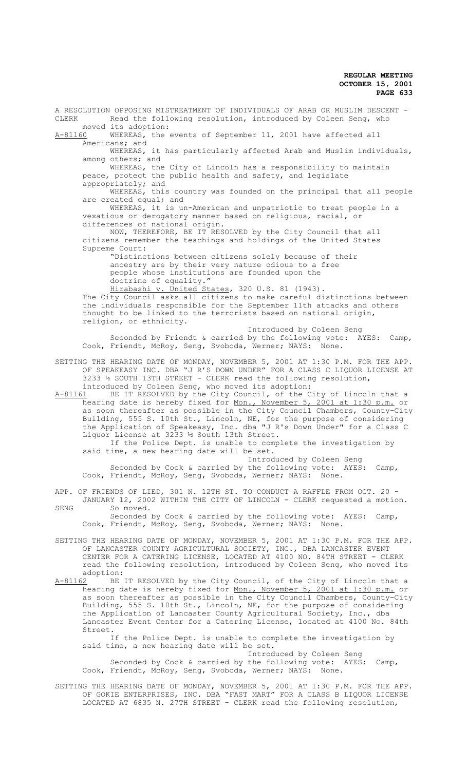A RESOLUTION OPPOSING MISTREATMENT OF INDIVIDUALS OF ARAB OR MUSLIM DESCENT -<br>CLERK Bead the following resolution, introduced by Coleen Seng, who Read the following resolution, introduced by Coleen Seng, who moved its adoption:<br>A-81160 WHEREAS, the WHEREAS, the events of September 11, 2001 have affected all Americans; and WHEREAS, it has particularly affected Arab and Muslim individuals, among others; and WHEREAS, the City of Lincoln has a responsibility to maintain peace, protect the public health and safety, and legislate appropriately; and WHEREAS, this country was founded on the principal that all people are created equal; and WHEREAS, it is un-American and unpatriotic to treat people in a vexatious or derogatory manner based on religious, racial, or differences of national origin. NOW, THEREFORE, BE IT RESOLVED by the City Council that all citizens remember the teachings and holdings of the United States Supreme Court: "Distinctions between citizens solely because of their ancestry are by their very nature odious to a free people whose institutions are founded upon the doctrine of equality." Hirabashi v. United States, 320 U.S. 81 (1943). The City Council asks all citizens to make careful distinctions between the individuals responsible for the September 11th attacks and others thought to be linked to the terrorists based on national origin, religion, or ethnicity. Introduced by Coleen Seng Seconded by Friendt & carried by the following vote: AYES: Camp, Cook, Friendt, McRoy, Seng, Svoboda, Werner; NAYS: None. SETTING THE HEARING DATE OF MONDAY, NOVEMBER 5, 2001 AT 1:30 P.M. FOR THE APP. OF SPEAKEASY INC. DBA "J R'S DOWN UNDER" FOR A CLASS C LIQUOR LICENSE AT  $3233$  ½ SOUTH 13TH STREET - CLERK read the following resolution, introduced by Coleen Seng, who moved its adoption: A-81161 BE IT RESOLVED by the City Council, of the City of Lincoln that a hearing date is hereby fixed for Mon., November 5, 2001 at 1:30 p.m. or as soon thereafter as possible in the City Council Chambers, County-City Building, 555 S. 10th St., Lincoln, NE, for the purpose of considering the Application of Speakeasy, Inc. dba "J R's Down Under" for a Class C Liquor License at 3233 ½ South 13th Street. If the Police Dept. is unable to complete the investigation by said time, a new hearing date will be set. Introduced by Coleen Seng Seconded by Cook & carried by the following vote: AYES: Camp, Cook, Friendt, McRoy, Seng, Svoboda, Werner; NAYS: None. APP. OF FRIENDS OF LIED, 301 N. 12TH ST. TO CONDUCT A RAFFLE FROM OCT. 20 -JANUARY 12, 2002 WITHIN THE CITY OF LINCOLN - CLERK requested a motion. SENG Somoved. Seconded by Cook & carried by the following vote: AYES: Camp, Cook, Friendt, McRoy, Seng, Svoboda, Werner; NAYS: None. SETTING THE HEARING DATE OF MONDAY, NOVEMBER 5, 2001 AT 1:30 P.M. FOR THE APP. OF LANCASTER COUNTY AGRICULTURAL SOCIETY, INC., DBA LANCASTER EVENT CENTER FOR A CATERING LICENSE, LOCATED AT 4100 NO. 84TH STREET - CLERK read the following resolution, introduced by Coleen Seng, who moved its adoption:<br>A-81162 BE A-81162 BE IT RESOLVED by the City Council, of the City of Lincoln that a hearing date is hereby fixed for <u>Mon., November 5, 2001 at 1:30 p.m.</u> or as soon thereafter as possible in the City Council Chambers, County-City Building, 555 S. 10th St., Lincoln, NE, for the purpose of considering the Application of Lancaster County Agricultural Society, Inc., dba Lancaster Event Center for a Catering License, located at 4100 No. 84th Street. If the Police Dept. is unable to complete the investigation by said time, a new hearing date will be set. Introduced by Coleen Seng Seconded by Cook & carried by the following vote: AYES: Camp, Cook, Friendt, McRoy, Seng, Svoboda, Werner; NAYS: None.

SETTING THE HEARING DATE OF MONDAY, NOVEMBER 5, 2001 AT 1:30 P.M. FOR THE APP. OF GOKIE ENTERPRISES, INC. DBA "FAST MART" FOR A CLASS B LIQUOR LICENSE LOCATED AT 6835 N. 27TH STREET - CLERK read the following resolution,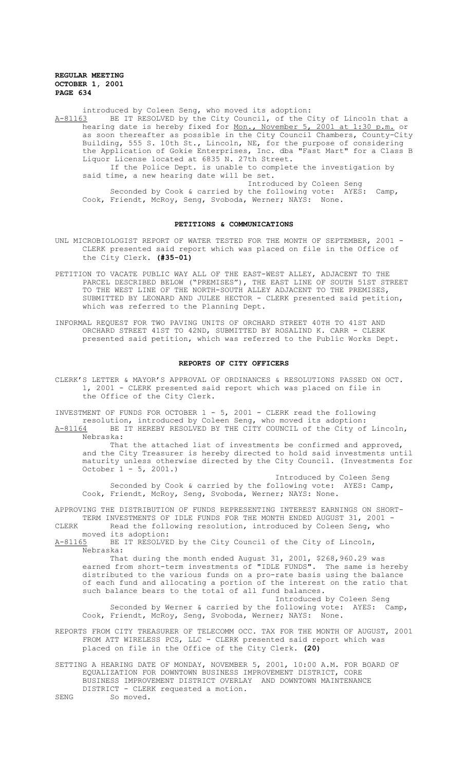introduced by Coleen Seng, who moved its adoption:<br>A-81163 BE IT RESOLVED by the City Council, of the C A-81163 BE IT RESOLVED by the City Council, of the City of Lincoln that a hearing date is hereby fixed for <u>Mon., November 5, 2001 at 1:30 p.m.</u> or as soon thereafter as possible in the City Council Chambers, County-City Building, 555 S. 10th St., Lincoln, NE, for the purpose of considering the Application of Gokie Enterprises, Inc. dba "Fast Mart" for a Class B Liquor License located at 6835 N. 27th Street. If the Police Dept. is unable to complete the investigation by said time, a new hearing date will be set. Introduced by Coleen Seng Seconded by Cook & carried by the following vote: AYES: Camp, Cook, Friendt, McRoy, Seng, Svoboda, Werner; NAYS: None.

#### **PETITIONS & COMMUNICATIONS**

- UNL MICROBIOLOGIST REPORT OF WATER TESTED FOR THE MONTH OF SEPTEMBER, 2001 -CLERK presented said report which was placed on file in the Office of the City Clerk. **(#35-01)**
- PETITION TO VACATE PUBLIC WAY ALL OF THE EAST-WEST ALLEY, ADJACENT TO THE PARCEL DESCRIBED BELOW ("PREMISES"), THE EAST LINE OF SOUTH 51ST STREET TO THE WEST LINE OF THE NORTH-SOUTH ALLEY ADJACENT TO THE PREMISES, SUBMITTED BY LEONARD AND JULEE HECTOR - CLERK presented said petition, which was referred to the Planning Dept.
- INFORMAL REQUEST FOR TWO PAVING UNITS OF ORCHARD STREET 40TH TO 41ST AND ORCHARD STREET 41ST TO 42ND, SUBMITTED BY ROSALIND K. CARR - CLERK presented said petition, which was referred to the Public Works Dept.

#### **REPORTS OF CITY OFFICERS**

CLERK'S LETTER & MAYOR'S APPROVAL OF ORDINANCES & RESOLUTIONS PASSED ON OCT. 1, 2001 - CLERK presented said report which was placed on file in the Office of the City Clerk.

INVESTMENT OF FUNDS FOR OCTOBER  $1 - 5$ , 2001 - CLERK read the following resolution, introduced by Coleen Seng, who moved its adoption: A-81164 BE IT HEREBY RESOLVED BY THE CITY COUNCIL of the City of Lincoln, Nebraska:

That the attached list of investments be confirmed and approved, and the City Treasurer is hereby directed to hold said investments until maturity unless otherwise directed by the City Council. (Investments for October 1 - 5, 2001.)

Introduced by Coleen Seng Seconded by Cook & carried by the following vote: AYES: Camp, Cook, Friendt, McRoy, Seng, Svoboda, Werner; NAYS: None.

APPROVING THE DISTRIBUTION OF FUNDS REPRESENTING INTEREST EARNINGS ON SHORT-TERM INVESTMENTS OF IDLE FUNDS FOR THE MONTH ENDED AUGUST 31, 2001 -CLERK Read the following resolution, introduced by Coleen Seng, who

moved its adoption: A-81165 BE IT RESOLVED by the City Council of the City of Lincoln, Nebraska:

That during the month ended August 31, 2001, \$268,960.29 was earned from short-term investments of "IDLE FUNDS". The same is hereby distributed to the various funds on a pro-rate basis using the balance of each fund and allocating a portion of the interest on the ratio that such balance bears to the total of all fund balances.

Introduced by Coleen Seng Seconded by Werner & carried by the following vote: AYES: Camp, Cook, Friendt, McRoy, Seng, Svoboda, Werner; NAYS: None.

REPORTS FROM CITY TREASURER OF TELECOMM OCC. TAX FOR THE MONTH OF AUGUST, 2001 FROM ATT WIRELESS PCS, LLC - CLERK presented said report which was placed on file in the Office of the City Clerk. **(20)**

SETTING A HEARING DATE OF MONDAY, NOVEMBER 5, 2001, 10:00 A.M. FOR BOARD OF EQUALIZATION FOR DOWNTOWN BUSINESS IMPROVEMENT DISTRICT, CORE BUSINESS IMPROVEMENT DISTRICT OVERLAY AND DOWNTOWN MAINTENANCE DISTRICT - CLERK requested a motion. SENG So moved.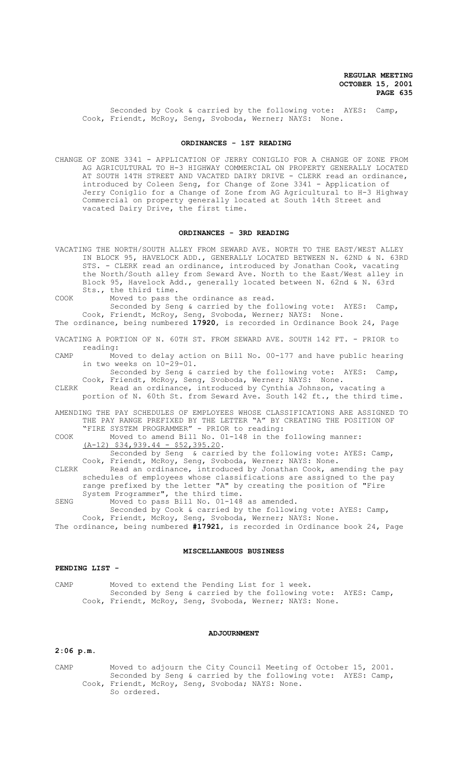Seconded by Cook & carried by the following vote: AYES: Camp, Cook, Friendt, McRoy, Seng, Svoboda, Werner; NAYS: None.

### **ORDINANCES - 1ST READING**

CHANGE OF ZONE 3341 - APPLICATION OF JERRY CONIGLIO FOR A CHANGE OF ZONE FROM AG AGRICULTURAL TO H-3 HIGHWAY COMMERCIAL ON PROPERTY GENERALLY LOCATED AT SOUTH 14TH STREET AND VACATED DAIRY DRIVE - CLERK read an ordinance, introduced by Coleen Seng, for Change of Zone 3341 - Application of Jerry Coniglio for a Change of Zone from AG Agricultural to H-3 Highway Commercial on property generally located at South 14th Street and vacated Dairy Drive, the first time.

## **ORDINANCES - 3RD READING**

VACATING THE NORTH/SOUTH ALLEY FROM SEWARD AVE. NORTH TO THE EAST/WEST ALLEY IN BLOCK 95, HAVELOCK ADD., GENERALLY LOCATED BETWEEN N. 62ND & N. 63RD STS. - CLERK read an ordinance, introduced by Jonathan Cook, vacating the North/South alley from Seward Ave. North to the East/West alley in Block 95, Havelock Add., generally located between N. 62nd & N. 63rd Sts., the third time.

COOK Moved to pass the ordinance as read.

Seconded by Seng & carried by the following vote: AYES: Camp, Cook, Friendt, McRoy, Seng, Svoboda, Werner; NAYS: None.

The ordinance, being numbered **17920**, is recorded in Ordinance Book 24, Page

VACATING A PORTION OF N. 60TH ST. FROM SEWARD AVE. SOUTH 142 FT. - PRIOR to reading:

CAMP Moved to delay action on Bill No. 00-177 and have public hearing in two weeks on 10-29-01.

Seconded by Seng & carried by the following vote: AYES: Camp, Cook, Friendt, McRoy, Seng, Svoboda, Werner; NAYS: None.<br>CLERK Read an ordinance, introduced by Cynthia Johnson. v.

CLERK Read an ordinance, introduced by Cynthia Johnson, vacating a portion of N. 60th St. from Seward Ave. South 142 ft., the third time.

AMENDING THE PAY SCHEDULES OF EMPLOYEES WHOSE CLASSIFICATIONS ARE ASSIGNED TO THE PAY RANGE PREFIXED BY THE LETTER "A" BY CREATING THE POSITION OF "FIRE SYSTEM PROGRAMMER" - PRIOR to reading:

COOK Moved to amend Bill No. 01-148 in the following manner:  $(A-12)$  \$34,939.44 - \$52,395.20.

Seconded by Seng & carried by the following vote: AYES: Camp, Cook, Friendt, McRoy, Seng, Svoboda, Werner; NAYS: None.

CLERK Read an ordinance, introduced by Jonathan Cook, amending the pay schedules of employees whose classifications are assigned to the pay range prefixed by the letter "A" by creating the position of "Fire System Programmer", the third time.

SENG Moved to pass Bill No. 01-148 as amended.

Seconded by Cook & carried by the following vote: AYES: Camp, Cook, Friendt, McRoy, Seng, Svoboda, Werner; NAYS: None. The ordinance, being numbered **#17921**, is recorded in Ordinance book 24, Page

#### **MISCELLANEOUS BUSINESS**

## **PENDING LIST -**

CAMP Moved to extend the Pending List for 1 week. Seconded by Seng & carried by the following vote: AYES: Camp, Cook, Friendt, McRoy, Seng, Svoboda, Werner; NAYS: None.

#### **ADJOURNMENT**

#### **2:06 p.m.**

CAMP Moved to adjourn the City Council Meeting of October 15, 2001. Seconded by Seng & carried by the following vote: AYES: Camp, Cook, Friendt, McRoy, Seng, Svoboda; NAYS: None. So ordered.